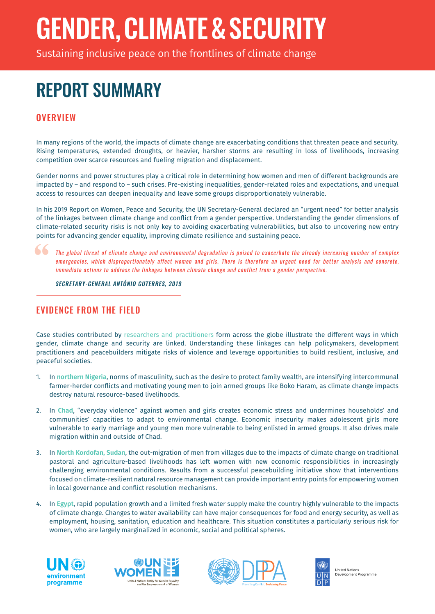# GENDER,CLIMATE&SECURITY

Sustaining inclusive peace on the frontlines of climate change

## REPORT SUMMARY

### **OVERVIEW**

In many regions of the world, the impacts of climate change are exacerbating conditions that threaten peace and security. Rising temperatures, extended droughts, or heavier, harsher storms are resulting in loss of livelihoods, increasing competition over scarce resources and fueling migration and displacement.

Gender norms and power structures play a critical role in determining how women and men of different backgrounds are impacted by – and respond to – such crises. Pre-existing inequalities, gender-related roles and expectations, and unequal access to resources can deepen inequality and leave some groups disproportionately vulnerable.

In his 2019 Report on Women, Peace and Security, the UN Secretary-General declared an "urgent need" for better analysis of the linkages between climate change and conflict from a gender perspective. Understanding the gender dimensions of climate-related security risks is not only key to avoiding exacerbating vulnerabilities, but also to uncovering new entry points for advancing gender equality, improving climate resilience and sustaining peace.

The global threat of climate change and environmental degradation is poised to exacerbate the already increasing number of complex emergencies, which disproportionately affect women and girls. There is therefore an urgent need for better analysis and concrete, immediate actions to address the linkages between climate change and conflict from a gender perspective.

SECRETARY-GENERAL ANTÓNIO GUTERRES, 2019

#### EVIDENCE FROM THE FIELD

Case studies contributed by researchers and practitioners form across the globe illustrate the different ways in which gender, climate change and security are linked. Understanding these linkages can help policymakers, development practitioners and peacebuilders mitigate risks of violence and leverage opportunities to build resilient, inclusive, and peaceful societies.

- 1. In **northern Nigeria**, norms of masculinity, such as the desire to protect family wealth, are intensifying intercommunal farmer-herder conflicts and motivating young men to join armed groups like Boko Haram, as climate change impacts destroy natural resource-based livelihoods.
- 2. In **Chad**, "everyday violence" against women and girls creates economic stress and undermines households' and communities' capacities to adapt to environmental change. Economic insecurity makes adolescent girls more vulnerable to early marriage and young men more vulnerable to being enlisted in armed groups. It also drives male migration within and outside of Chad.
- 3. In **North Kordofan, Sudan**, the out-migration of men from villages due to the impacts of climate change on traditional pastoral and agriculture-based livelihoods has left women with new economic responsibilities in increasingly challenging environmental conditions. Results from a successful peacebuilding initiative show that interventions focused on climate-resilient natural resource management can provide important entry points for empowering women in local governance and conflict resolution mechanisms.
- 4. In **Egypt**, rapid population growth and a limited fresh water supply make the country highly vulnerable to the impacts of climate change. Changes to water availability can have major consequences for food and energy security, as well as employment, housing, sanitation, education and healthcare. This situation constitutes a particularly serious risk for women, who are largely marginalized in economic, social and political spheres.









United Nations rea : :===::<br>velopment Programme